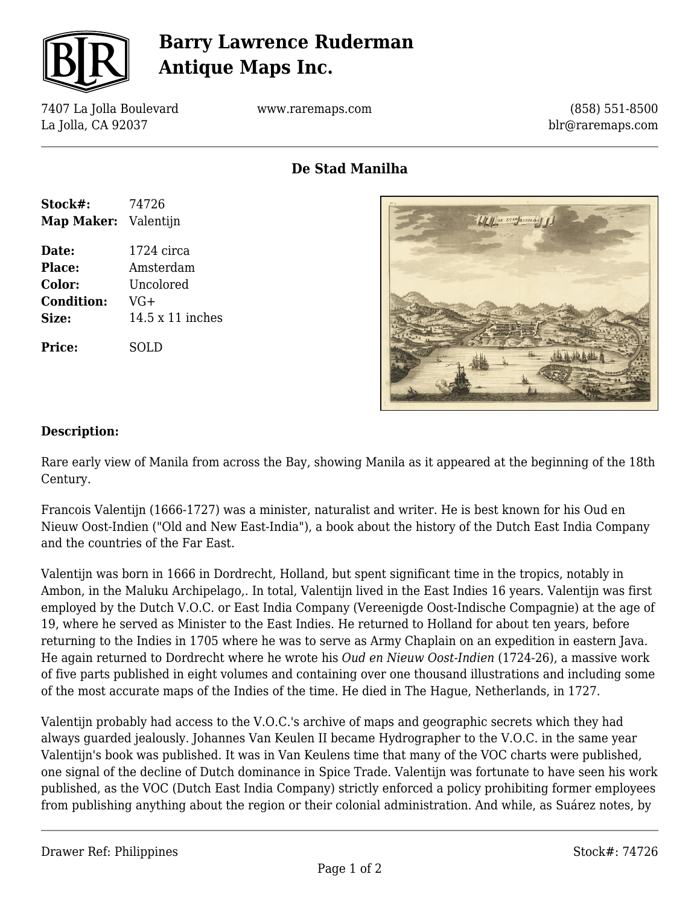

## **Barry Lawrence Ruderman Antique Maps Inc.**

7407 La Jolla Boulevard La Jolla, CA 92037

www.raremaps.com

(858) 551-8500 blr@raremaps.com

**De Stad Manilha**





#### **Description:**

Rare early view of Manila from across the Bay, showing Manila as it appeared at the beginning of the 18th Century.

Francois Valentijn (1666-1727) was a minister, naturalist and writer. He is best known for his Oud en Nieuw Oost-Indien ("Old and New East-India"), a book about the history of the Dutch East India Company and the countries of the Far East.

Valentijn was born in 1666 in Dordrecht, Holland, but spent significant time in the tropics, notably in Ambon, in the Maluku Archipelago,. In total, Valentijn lived in the East Indies 16 years. Valentijn was first employed by the Dutch V.O.C. or East India Company (Vereenigde Oost-Indische Compagnie) at the age of 19, where he served as Minister to the East Indies. He returned to Holland for about ten years, before returning to the Indies in 1705 where he was to serve as Army Chaplain on an expedition in eastern Java. He again returned to Dordrecht where he wrote his *Oud en Nieuw Oost-Indien* (1724-26), a massive work of five parts published in eight volumes and containing over one thousand illustrations and including some of the most accurate maps of the Indies of the time. He died in The Hague, Netherlands, in 1727.

Valentijn probably had access to the V.O.C.'s archive of maps and geographic secrets which they had always guarded jealously. Johannes Van Keulen II became Hydrographer to the V.O.C. in the same year Valentijn's book was published. It was in Van Keulens time that many of the VOC charts were published, one signal of the decline of Dutch dominance in Spice Trade. Valentijn was fortunate to have seen his work published, as the VOC (Dutch East India Company) strictly enforced a policy prohibiting former employees from publishing anything about the region or their colonial administration. And while, as Suárez notes, by